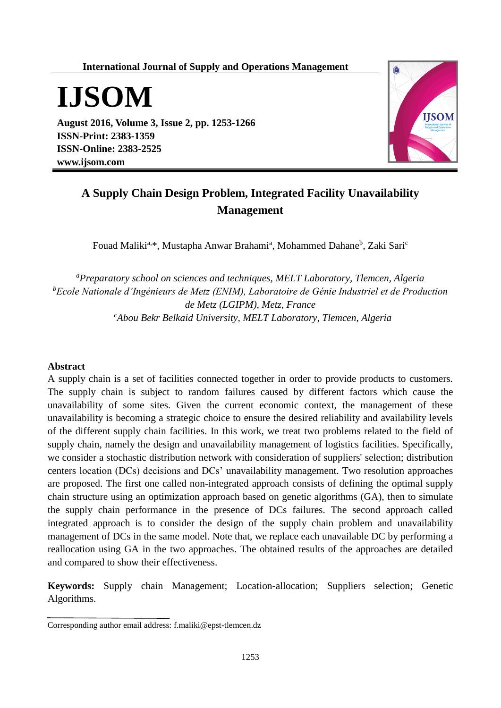**International Journal of Supply and Operations Management**



**August 2016, Volume 3, Issue 2, pp. 1253-1266 ISSN-Print: 2383-1359 ISSN-Online: 2383-2525 www.ijsom.com**



# **A Supply Chain Design Problem, Integrated Facility Unavailability Management**

Fouad Maliki<sup>a,\*</sup>, Mustapha Anwar Brahami<sup>a</sup>, Mohammed Dahane<sup>b</sup>, Zaki Sari<sup>c</sup>

*<sup>a</sup>Preparatory school on sciences and techniques, MELT Laboratory, Tlemcen, Algeria <sup>b</sup>Ecole Nationale d'Ingénieurs de Metz (ENIM), Laboratoire de Génie Industriel et de Production de Metz (LGIPM), Metz, France <sup>c</sup>Abou Bekr Belkaid University, MELT Laboratory, Tlemcen, Algeria*

### **Abstract**

A supply chain is a set of facilities connected together in order to provide products to customers. The supply chain is subject to random failures caused by different factors which cause the unavailability of some sites. Given the current economic context, the management of these unavailability is becoming a strategic choice to ensure the desired reliability and availability levels of the different supply chain facilities. In this work, we treat two problems related to the field of supply chain, namely the design and unavailability management of logistics facilities. Specifically, we consider a stochastic distribution network with consideration of suppliers' selection; distribution centers location (DCs) decisions and DCs' unavailability management. Two resolution approaches are proposed. The first one called non-integrated approach consists of defining the optimal supply chain structure using an optimization approach based on genetic algorithms (GA), then to simulate the supply chain performance in the presence of DCs failures. The second approach called integrated approach is to consider the design of the supply chain problem and unavailability management of DCs in the same model. Note that, we replace each unavailable DC by performing a reallocation using GA in the two approaches. The obtained results of the approaches are detailed and compared to show their effectiveness.

**Keywords:** Supply chain Management; Location-allocation; Suppliers selection; Genetic Algorithms.

Corresponding author email address: f.maliki@epst-tlemcen.dz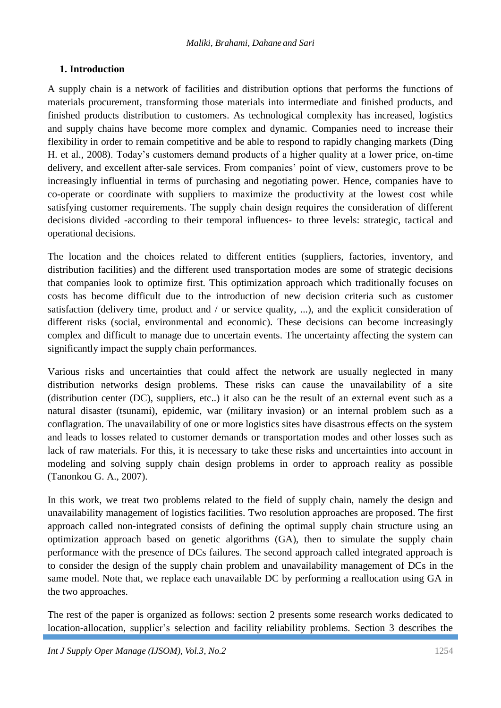## **1. Introduction**

A supply chain is a network of facilities and distribution options that performs the functions of materials procurement, transforming those materials into intermediate and finished products, and finished products distribution to customers. As technological complexity has increased, logistics and supply chains have become more complex and dynamic. Companies need to increase their flexibility in order to remain competitive and be able to respond to rapidly changing markets (Ding H. et al., 2008). Today's customers demand products of a higher quality at a lower price, on-time delivery, and excellent after-sale services. From companies' point of view, customers prove to be increasingly influential in terms of purchasing and negotiating power. Hence, companies have to co-operate or coordinate with suppliers to maximize the productivity at the lowest cost while satisfying customer requirements. The supply chain design requires the consideration of different decisions divided -according to their temporal influences- to three levels: strategic, tactical and operational decisions.

The location and the choices related to different entities (suppliers, factories, inventory, and distribution facilities) and the different used transportation modes are some of strategic decisions that companies look to optimize first. This optimization approach which traditionally focuses on costs has become difficult due to the introduction of new decision criteria such as customer satisfaction (delivery time, product and / or service quality, ...), and the explicit consideration of different risks (social, environmental and economic). These decisions can become increasingly complex and difficult to manage due to uncertain events. The uncertainty affecting the system can significantly impact the supply chain performances.

Various risks and uncertainties that could affect the network are usually neglected in many distribution networks design problems. These risks can cause the unavailability of a site (distribution center (DC), suppliers, etc..) it also can be the result of an external event such as a natural disaster (tsunami), epidemic, war (military invasion) or an internal problem such as a conflagration. The unavailability of one or more logistics sites have disastrous effects on the system and leads to losses related to customer demands or transportation modes and other losses such as lack of raw materials. For this, it is necessary to take these risks and uncertainties into account in modeling and solving supply chain design problems in order to approach reality as possible (Tanonkou G. A., 2007).

In this work, we treat two problems related to the field of supply chain, namely the design and unavailability management of logistics facilities. Two resolution approaches are proposed. The first approach called non-integrated consists of defining the optimal supply chain structure using an optimization approach based on genetic algorithms (GA), then to simulate the supply chain performance with the presence of DCs failures. The second approach called integrated approach is to consider the design of the supply chain problem and unavailability management of DCs in the same model. Note that, we replace each unavailable DC by performing a reallocation using GA in the two approaches.

The rest of the paper is organized as follows: section 2 presents some research works dedicated to location-allocation, supplier's selection and facility reliability problems. Section 3 describes the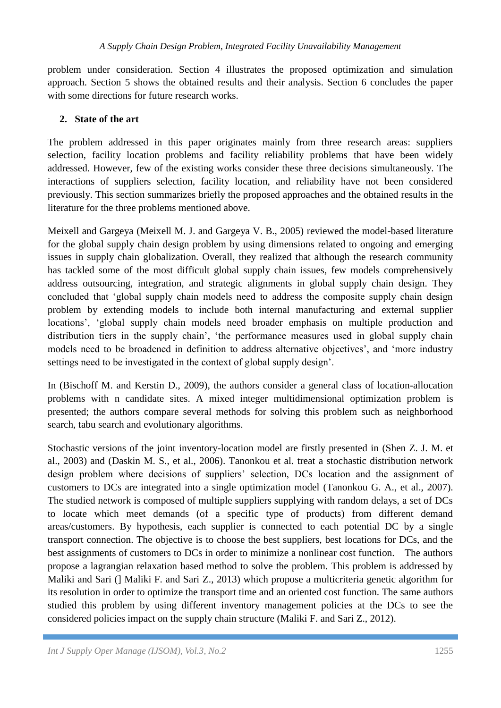problem under consideration. Section 4 illustrates the proposed optimization and simulation approach. Section 5 shows the obtained results and their analysis. Section 6 concludes the paper with some directions for future research works.

## **2. State of the art**

The problem addressed in this paper originates mainly from three research areas: suppliers selection, facility location problems and facility reliability problems that have been widely addressed. However, few of the existing works consider these three decisions simultaneously. The interactions of suppliers selection, facility location, and reliability have not been considered previously. This section summarizes briefly the proposed approaches and the obtained results in the literature for the three problems mentioned above.

Meixell and Gargeya (Meixell M. J. and Gargeya V. B., 2005) reviewed the model-based literature for the global supply chain design problem by using dimensions related to ongoing and emerging issues in supply chain globalization. Overall, they realized that although the research community has tackled some of the most difficult global supply chain issues, few models comprehensively address outsourcing, integration, and strategic alignments in global supply chain design. They concluded that 'global supply chain models need to address the composite supply chain design problem by extending models to include both internal manufacturing and external supplier locations', 'global supply chain models need broader emphasis on multiple production and distribution tiers in the supply chain', 'the performance measures used in global supply chain models need to be broadened in definition to address alternative objectives', and 'more industry settings need to be investigated in the context of global supply design'.

In (Bischoff M. and Kerstin D., 2009), the authors consider a general class of location-allocation problems with n candidate sites. A mixed integer multidimensional optimization problem is presented; the authors compare several methods for solving this problem such as neighborhood search, tabu search and evolutionary algorithms.

Stochastic versions of the joint inventory-location model are firstly presented in (Shen Z. J. M. et al., 2003) and (Daskin M. S., et al., 2006). Tanonkou et al. treat a stochastic distribution network design problem where decisions of suppliers' selection, DCs location and the assignment of customers to DCs are integrated into a single optimization model (Tanonkou G. A., et al., 2007). The studied network is composed of multiple suppliers supplying with random delays, a set of DCs to locate which meet demands (of a specific type of products) from different demand areas/customers. By hypothesis, each supplier is connected to each potential DC by a single transport connection. The objective is to choose the best suppliers, best locations for DCs, and the best assignments of customers to DCs in order to minimize a nonlinear cost function. The authors propose a lagrangian relaxation based method to solve the problem. This problem is addressed by Maliki and Sari (] Maliki F. and Sari Z., 2013) which propose a multicriteria genetic algorithm for its resolution in order to optimize the transport time and an oriented cost function. The same authors studied this problem by using different inventory management policies at the DCs to see the considered policies impact on the supply chain structure (Maliki F. and Sari Z., 2012).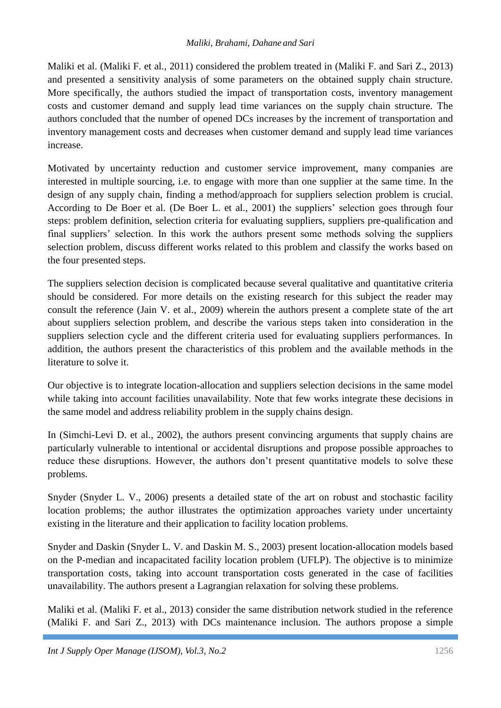Maliki et al. (Maliki F. et al., 2011) considered the problem treated in (Maliki F. and Sari Z., 2013) and presented a sensitivity analysis of some parameters on the obtained supply chain structure. More specifically, the authors studied the impact of transportation costs, inventory management costs and customer demand and supply lead time variances on the supply chain structure. The authors concluded that the number of opened DCs increases by the increment of transportation and inventory management costs and decreases when customer demand and supply lead time variances increase.

Motivated by uncertainty reduction and customer service improvement, many companies are interested in multiple sourcing, i.e. to engage with more than one supplier at the same time. In the design of any supply chain, finding a method/approach for suppliers selection problem is crucial. According to De Boer et al. (De Boer L. et al., 2001) the suppliers' selection goes through four steps: problem definition, selection criteria for evaluating suppliers, suppliers pre-qualification and final suppliers' selection. In this work the authors present some methods solving the suppliers selection problem, discuss different works related to this problem and classify the works based on the four presented steps.

The suppliers selection decision is complicated because several qualitative and quantitative criteria should be considered. For more details on the existing research for this subject the reader may consult the reference (Jain V. et al., 2009) wherein the authors present a complete state of the art about suppliers selection problem, and describe the various steps taken into consideration in the suppliers selection cycle and the different criteria used for evaluating suppliers performances. In addition, the authors present the characteristics of this problem and the available methods in the literature to solve it.

Our objective is to integrate location-allocation and suppliers selection decisions in the same model while taking into account facilities unavailability. Note that few works integrate these decisions in the same model and address reliability problem in the supply chains design.

In (Simchi-Levi D. et al., 2002), the authors present convincing arguments that supply chains are particularly vulnerable to intentional or accidental disruptions and propose possible approaches to reduce these disruptions. However, the authors don't present quantitative models to solve these problems.

Snyder (Snyder L. V., 2006) presents a detailed state of the art on robust and stochastic facility location problems; the author illustrates the optimization approaches variety under uncertainty existing in the literature and their application to facility location problems.

Snyder and Daskin (Snyder L. V. and Daskin M. S., 2003) present location-allocation models based on the P-median and incapacitated facility location problem (UFLP). The objective is to minimize transportation costs, taking into account transportation costs generated in the case of facilities unavailability. The authors present a Lagrangian relaxation for solving these problems.

Maliki et al. (Maliki F. et al., 2013) consider the same distribution network studied in the reference (Maliki F. and Sari Z., 2013) with DCs maintenance inclusion. The authors propose a simple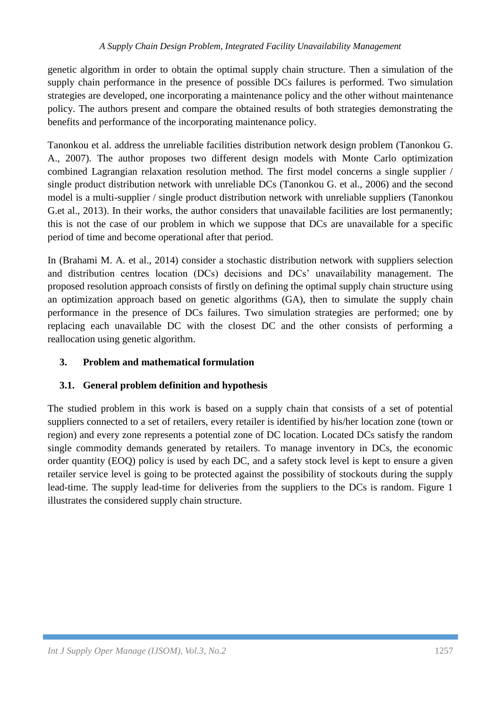genetic algorithm in order to obtain the optimal supply chain structure. Then a simulation of the supply chain performance in the presence of possible DCs failures is performed. Two simulation strategies are developed, one incorporating a maintenance policy and the other without maintenance policy. The authors present and compare the obtained results of both strategies demonstrating the benefits and performance of the incorporating maintenance policy.

Tanonkou et al. address the unreliable facilities distribution network design problem (Tanonkou G. A., 2007). The author proposes two different design models with Monte Carlo optimization combined Lagrangian relaxation resolution method. The first model concerns a single supplier / single product distribution network with unreliable DCs (Tanonkou G. et al., 2006) and the second model is a multi-supplier / single product distribution network with unreliable suppliers (Tanonkou G.et al., 2013). In their works, the author considers that unavailable facilities are lost permanently; this is not the case of our problem in which we suppose that DCs are unavailable for a specific period of time and become operational after that period.

In (Brahami M. A. et al., 2014) consider a stochastic distribution network with suppliers selection and distribution centres location (DCs) decisions and DCs' unavailability management. The proposed resolution approach consists of firstly on defining the optimal supply chain structure using an optimization approach based on genetic algorithms (GA), then to simulate the supply chain performance in the presence of DCs failures. Two simulation strategies are performed; one by replacing each unavailable DC with the closest DC and the other consists of performing a reallocation using genetic algorithm.

## **3. Problem and mathematical formulation**

## **3.1. General problem definition and hypothesis**

The studied problem in this work is based on a supply chain that consists of a set of potential suppliers connected to a set of retailers, every retailer is identified by his/her location zone (town or region) and every zone represents a potential zone of DC location. Located DCs satisfy the random single commodity demands generated by retailers. To manage inventory in DCs, the economic order quantity (EOQ) policy is used by each DC, and a safety stock level is kept to ensure a given retailer service level is going to be protected against the possibility of stockouts during the supply lead-time. The supply lead-time for deliveries from the suppliers to the DCs is random. Figure 1 illustrates the considered supply chain structure.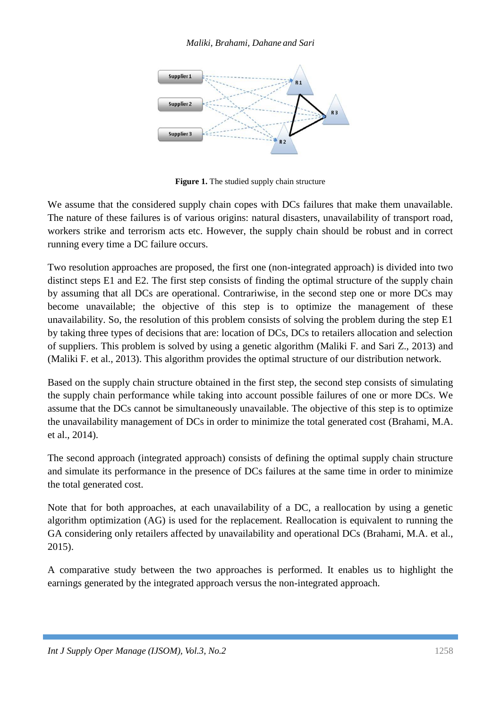### *Maliki, Brahami, Dahane and Sari*



**Figure 1.** The studied supply chain structure

We assume that the considered supply chain copes with DCs failures that make them unavailable. The nature of these failures is of various origins: natural disasters, unavailability of transport road, workers strike and terrorism acts etc. However, the supply chain should be robust and in correct running every time a DC failure occurs.

Two resolution approaches are proposed, the first one (non-integrated approach) is divided into two distinct steps E1 and E2. The first step consists of finding the optimal structure of the supply chain by assuming that all DCs are operational. Contrariwise, in the second step one or more DCs may become unavailable; the objective of this step is to optimize the management of these unavailability. So, the resolution of this problem consists of solving the problem during the step E1 by taking three types of decisions that are: location of DCs, DCs to retailers allocation and selection of suppliers. This problem is solved by using a genetic algorithm (Maliki F. and Sari Z., 2013) and (Maliki F. et al., 2013). This algorithm provides the optimal structure of our distribution network.

Based on the supply chain structure obtained in the first step, the second step consists of simulating the supply chain performance while taking into account possible failures of one or more DCs. We assume that the DCs cannot be simultaneously unavailable. The objective of this step is to optimize the unavailability management of DCs in order to minimize the total generated cost (Brahami, M.A. et al., 2014).

The second approach (integrated approach) consists of defining the optimal supply chain structure and simulate its performance in the presence of DCs failures at the same time in order to minimize the total generated cost.

Note that for both approaches, at each unavailability of a DC, a reallocation by using a genetic algorithm optimization (AG) is used for the replacement. Reallocation is equivalent to running the GA considering only retailers affected by unavailability and operational DCs (Brahami, M.A. et al., 2015).

A comparative study between the two approaches is performed. It enables us to highlight the earnings generated by the integrated approach versus the non-integrated approach.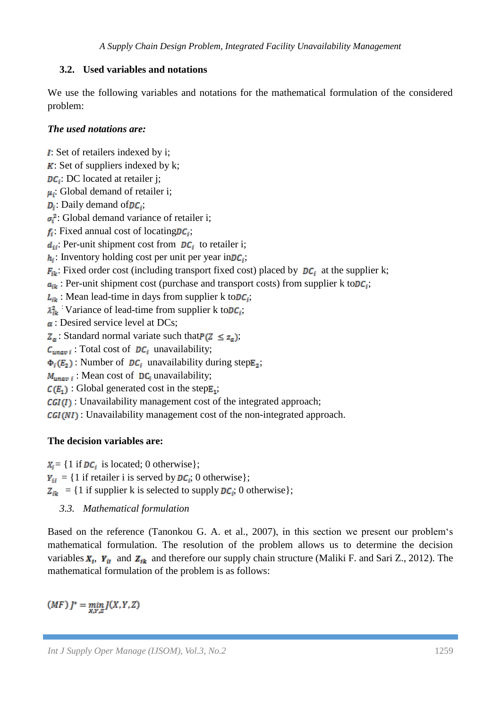## **3.2. Used variables and notations**

We use the following variables and notations for the mathematical formulation of the considered problem:

## *The used notations are:*

: Set of retailers indexed by i;

- $\bf{K}$ : Set of suppliers indexed by k;
- $DC_i$ : DC located at retailer j;

 $\mu_i$ : Global demand of retailer i;

- $D_i$ : Daily demand of  $DC_i$ ;
- $\sigma_i^2$ : Global demand variance of retailer i;

 $f_i$ : Fixed annual cost of locating  $DC_i$ ;

 $d_{ii}$ : Per-unit shipment cost from  $DC_i$  to retailer i;

 $h_i$ : Inventory holding cost per unit per year in  $DC_i$ ;

 $F_{ik}$ : Fixed order cost (including transport fixed cost) placed by  $DC_i$  at the supplier k;

 $a_{ik}$ : Per-unit shipment cost (purchase and transport costs) from supplier k to  $DC_i$ ;

 $L_{ik}$ : Mean lead-time in days from supplier k to  $DC_i$ ;

 $\lambda_{ik}^2$ : Variance of lead-time from supplier k to  $DC_i$ ;

 $\alpha$ : Desired service level at DCs;

 $Z_{\alpha}$ : Standard normal variate such that  $P(Z \leq z_{\alpha})$ ;

 $C_{unayi}$ : Total cost of  $DC_i$  unavailability;

 $\Phi_i(E_2)$ : Number of  $DC_i$  unavailability during step  $E_2$ ;

 $M_{unay i}$ : Mean cost of DC<sub>i</sub> unavailability;

 $C(E_1)$ : Global generated cost in the step $E_1$ ;

 $CGI(I)$ : Unavailability management cost of the integrated approach;

 $CGI(NI)$ : Unavailability management cost of the non-integrated approach.

## **The decision variables are:**

 $X_i = \{1 \text{ if } DC_i \text{ is located}; 0 \text{ otherwise} \};$  $Y_{ii} = \{1 \text{ if retailer i is served by } DC_i; 0 \text{ otherwise}\};$  $Z_{ik}$  = {1 if supplier k is selected to supply  $DC_i$ ; 0 otherwise};

*3.3. Mathematical formulation*

Based on the reference (Tanonkou G. A. et al., 2007), in this section we present our problem's mathematical formulation. The resolution of the problem allows us to determine the decision variables  $X_t$ ,  $Y_{it}$  and  $Z_{ik}$  and therefore our supply chain structure (Maliki F. and Sari Z., 2012). The mathematical formulation of the problem is as follows:

 $(MF) J^* = \min_{X,Y,Z} J(X,Y,Z)$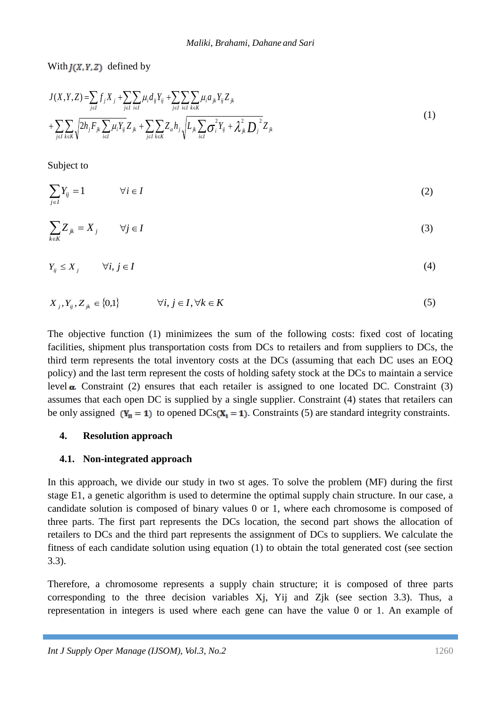With  $J(X, Y, Z)$  defined by

$$
J(X,Y,Z) = \sum_{j\in I} f_j X_j + \sum_{j\in I} \sum_{i\in I} \mu_i d_{ij} Y_{ij} + \sum_{j\in I} \sum_{i\in K} \mu_i a_{jk} Y_{ij} Z_{jk} + \sum_{j\in I} \sum_{k\in K} \sqrt{2h_j F_{jk}} \sum_{i\in I} \mu_i Y_{ij} Z_{jk} + \sum_{j\in I} \sum_{k\in K} Z_{\alpha} h_j \sqrt{L_{jk} \sum_{i\in I} \sigma_i^2 Y_{ij} + \lambda_{jk}^2 D_j^2 Z_{jk}}
$$
(1)

Subject to

$$
\sum_{j\in I} Y_{ij} = 1 \qquad \forall i \in I
$$
 (2)

$$
\sum_{k \in K} Z_{jk} = X_j \qquad \forall j \in I \tag{3}
$$

$$
Y_{ij} \le X_j \qquad \forall i, j \in I \tag{4}
$$

$$
X_j, Y_{ij}, Z_{jk} \in \{0,1\} \qquad \forall i, j \in I, \forall k \in K \tag{5}
$$

The objective function (1) minimizees the sum of the following costs: fixed cost of locating facilities, shipment plus transportation costs from DCs to retailers and from suppliers to DCs, the third term represents the total inventory costs at the DCs (assuming that each DC uses an EOQ policy) and the last term represent the costs of holding safety stock at the DCs to maintain a service level  $\alpha$ . Constraint (2) ensures that each retailer is assigned to one located DC. Constraint (3) assumes that each open DC is supplied by a single supplier. Constraint (4) states that retailers can be only assigned  $(Y_n = 1)$  to opened  $DCs(X_1 = 1)$ . Constraints (5) are standard integrity constraints.

#### **4. Resolution approach**

### **4.1. Non-integrated approach**

In this approach, we divide our study in two st ages. To solve the problem (MF) during the first stage E1, a genetic algorithm is used to determine the optimal supply chain structure. In our case, a candidate solution is composed of binary values 0 or 1, where each chromosome is composed of three parts. The first part represents the DCs location, the second part shows the allocation of retailers to DCs and the third part represents the assignment of DCs to suppliers. We calculate the fitness of each candidate solution using equation (1) to obtain the total generated cost (see section 3.3).

Therefore, a chromosome represents a supply chain structure; it is composed of three parts corresponding to the three decision variables Xj, Yij and Zjk (see section 3.3). Thus, a representation in integers is used where each gene can have the value 0 or 1. An example of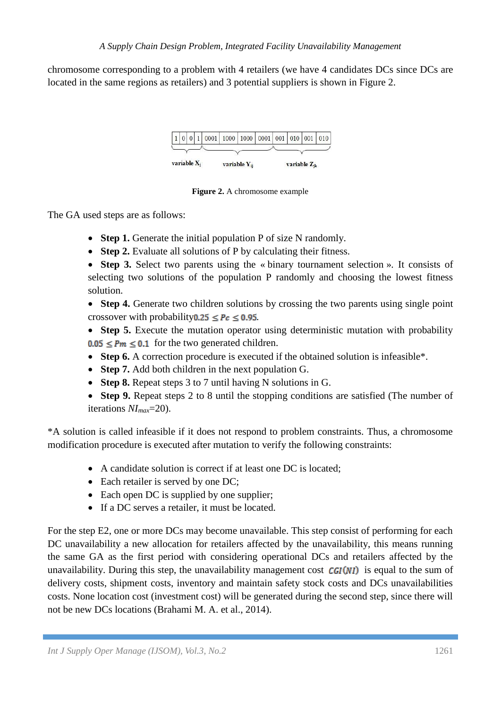chromosome corresponding to a problem with 4 retailers (we have 4 candidates DCs since DCs are located in the same regions as retailers) and 3 potential suppliers is shown in Figure 2.



**Figure 2.** A chromosome example

The GA used steps are as follows:

- **Step 1.** Generate the initial population P of size N randomly.
- **Step 2.** Evaluate all solutions of P by calculating their fitness.
- Step 3. Select two parents using the « binary tournament selection ». It consists of selecting two solutions of the population P randomly and choosing the lowest fitness solution.
- **Step 4.** Generate two children solutions by crossing the two parents using single point crossover with probability  $0.25 \leq Pc \leq 0.95$ .
- **Step 5.** Execute the mutation operator using deterministic mutation with probability  $0.05 \le Pm \le 0.1$  for the two generated children.
- **Step 6.** A correction procedure is executed if the obtained solution is infeasible\*.
- **Step 7.** Add both children in the next population G.
- **Step 8.** Repeat steps 3 to 7 until having N solutions in G.
- **Step 9.** Repeat steps 2 to 8 until the stopping conditions are satisfied (The number of iterations *NImax*=20).

\*A solution is called infeasible if it does not respond to problem constraints. Thus, a chromosome modification procedure is executed after mutation to verify the following constraints:

- A candidate solution is correct if at least one DC is located;
- Each retailer is served by one DC;
- Each open DC is supplied by one supplier;
- If a DC serves a retailer, it must be located.

For the step E2, one or more DCs may become unavailable. This step consist of performing for each DC unavailability a new allocation for retailers affected by the unavailability, this means running the same GA as the first period with considering operational DCs and retailers affected by the unavailability. During this step, the unavailability management cost  $CGI(NI)$  is equal to the sum of delivery costs, shipment costs, inventory and maintain safety stock costs and DCs unavailabilities costs. None location cost (investment cost) will be generated during the second step, since there will not be new DCs locations (Brahami M. A. et al., 2014).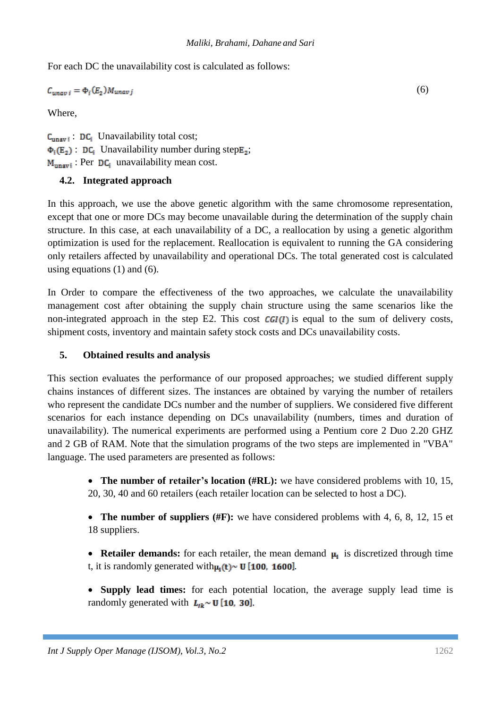For each DC the unavailability cost is calculated as follows:

$$
C_{unav\ i} = \Phi_i(E_2) M_{unav\ j} \tag{6}
$$

Where,

 $C_{\text{unav i}}$ : DC<sub>i</sub> Unavailability total cost;  $\Phi_i(E_2)$ : DC; Unavailability number during step  $E_2$ ;  $M_{unavi}$ : Per DC<sub>i</sub> unavailability mean cost.

## **4.2. Integrated approach**

In this approach, we use the above genetic algorithm with the same chromosome representation, except that one or more DCs may become unavailable during the determination of the supply chain structure. In this case, at each unavailability of a DC, a reallocation by using a genetic algorithm optimization is used for the replacement. Reallocation is equivalent to running the GA considering only retailers affected by unavailability and operational DCs. The total generated cost is calculated using equations  $(1)$  and  $(6)$ .

In Order to compare the effectiveness of the two approaches, we calculate the unavailability management cost after obtaining the supply chain structure using the same scenarios like the non-integrated approach in the step E2. This cost  $CGI(I)$  is equal to the sum of delivery costs, shipment costs, inventory and maintain safety stock costs and DCs unavailability costs.

### **5. Obtained results and analysis**

This section evaluates the performance of our proposed approaches; we studied different supply chains instances of different sizes. The instances are obtained by varying the number of retailers who represent the candidate DCs number and the number of suppliers. We considered five different scenarios for each instance depending on DCs unavailability (numbers, times and duration of unavailability). The numerical experiments are performed using a Pentium core 2 Duo 2.20 GHZ and 2 GB of RAM. Note that the simulation programs of the two steps are implemented in "VBA" language. The used parameters are presented as follows:

> **The number of retailer's location (#RL):** we have considered problems with 10, 15, 20, 30, 40 and 60 retailers (each retailer location can be selected to host a DC).

> • **The number of suppliers (#F):** we have considered problems with 4, 6, 8, 12, 15 et 18 suppliers.

> • **Retailer demands:** for each retailer, the mean demand  $\mu_1$  is discretized through time t, it is randomly generated with  $\mu_1(t) \sim U$  [100, 1600].

> **Supply lead times:** for each potential location, the average supply lead time is randomly generated with  $L_{ik} \sim U$  [10, 30].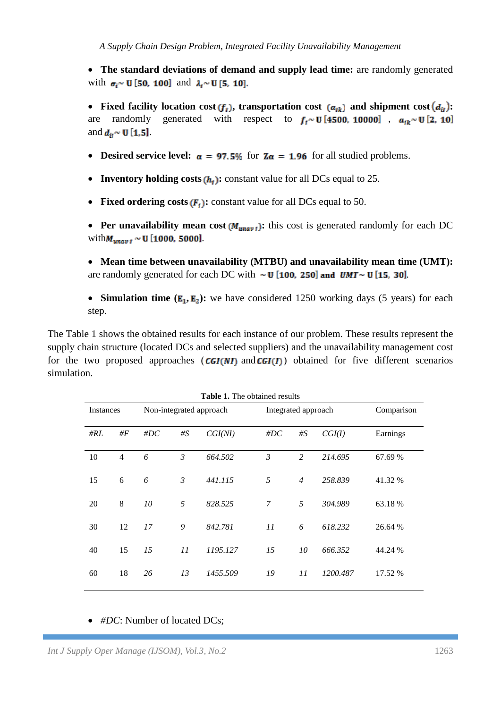**The standard deviations of demand and supply lead time:** are randomly generated with  $\sigma_i \sim U$  [50, 100] and  $\lambda_i \sim U$  [5, 10].

• Fixed facility location cost  $(f_i)$ , transportation cost  $(a_{ik})$  and shipment cost  $(d_{ii})$ : are randomly generated with respect to  $f_i \sim U$  [4500, 10000],  $a_{ik} \sim U$  [2, 10] and  $d_{ii} \sim U[1, 5]$ 

- **•** Desired service level:  $\alpha = 97.5\%$  for  $Z\alpha = 1.96$  for all studied problems.
- **Inventory holding costs**  $(h_t)$ **:** constant value for all DCs equal to 25.
- Fixed ordering costs  $(F_t)$ : constant value for all DCs equal to 50.

**• Per unavailability mean cost**  $(M_{unay1})$ **:** this cost is generated randomly for each DC with  $M_{unav1} \sim U$  [1000, 5000].

- **Mean time between unavailability (MTBU) and unavailability mean time (UMT):** are randomly generated for each DC with  $\sim$  U [100, 250] and *UMT* $\sim$  U [15, 30].
- **Simulation time**  $(E_1, E_2)$ **:** we have considered 1250 working days (5 years) for each step.

The Table 1 shows the obtained results for each instance of our problem. These results represent the supply chain structure (located DCs and selected suppliers) and the unavailability management cost for the two proposed approaches  $(CGI(NI))$  and  $CGI(I))$  obtained for five different scenarios simulation.

| <b>Table 1.</b> The obtained results |                |                         |       |          |                     |                |          |            |
|--------------------------------------|----------------|-------------------------|-------|----------|---------------------|----------------|----------|------------|
| Instances                            |                | Non-integrated approach |       |          | Integrated approach |                |          | Comparison |
| #RL                                  | # $F$          | $\#DC$                  | # $S$ | CGI(NI)  | $\#DC$              | # $S$          | CGI(I)   | Earnings   |
| 10                                   | $\overline{4}$ | 6                       | 3     | 664.502  | 3                   | 2              | 214.695  | 67.69 %    |
| 15                                   | 6              | 6                       | 3     | 441.115  | 5                   | $\overline{4}$ | 258.839  | 41.32 %    |
| 20                                   | 8              | 10                      | 5     | 828.525  | 7                   | 5              | 304.989  | 63.18 %    |
| 30                                   | 12             | 17                      | 9     | 842.781  | 11                  | 6              | 618.232  | 26.64 %    |
| 40                                   | 15             | 15                      | 11    | 1195.127 | 15                  | 10             | 666.352  | 44.24 %    |
| 60                                   | 18             | 26                      | 13    | 1455.509 | 19                  | 11             | 1200.487 | 17.52 %    |

**Table 1.** The obtained result

### • #DC: Number of located DCs;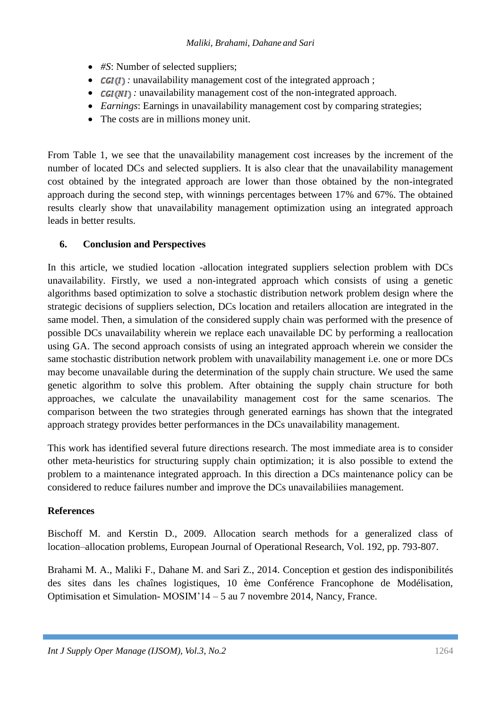- #*S*: Number of selected suppliers;
- *CGI(I)*: unavailability management cost of the integrated approach;
- **CGI(NI)**: unavailability management cost of the non-integrated approach.
- *Earnings*: Earnings in unavailability management cost by comparing strategies;
- The costs are in millions money unit.

From Table 1, we see that the unavailability management cost increases by the increment of the number of located DCs and selected suppliers. It is also clear that the unavailability management cost obtained by the integrated approach are lower than those obtained by the non-integrated approach during the second step, with winnings percentages between 17% and 67%. The obtained results clearly show that unavailability management optimization using an integrated approach leads in better results.

### **6. Conclusion and Perspectives**

In this article, we studied location -allocation integrated suppliers selection problem with DCs unavailability. Firstly, we used a non-integrated approach which consists of using a genetic algorithms based optimization to solve a stochastic distribution network problem design where the strategic decisions of suppliers selection, DCs location and retailers allocation are integrated in the same model. Then, a simulation of the considered supply chain was performed with the presence of possible DCs unavailability wherein we replace each unavailable DC by performing a reallocation using GA. The second approach consists of using an integrated approach wherein we consider the same stochastic distribution network problem with unavailability management i.e. one or more DCs may become unavailable during the determination of the supply chain structure. We used the same genetic algorithm to solve this problem. After obtaining the supply chain structure for both approaches, we calculate the unavailability management cost for the same scenarios. The comparison between the two strategies through generated earnings has shown that the integrated approach strategy provides better performances in the DCs unavailability management.

This work has identified several future directions research. The most immediate area is to consider other meta-heuristics for structuring supply chain optimization; it is also possible to extend the problem to a maintenance integrated approach. In this direction a DCs maintenance policy can be considered to reduce failures number and improve the DCs unavailabiliies management.

### **References**

Bischoff M. and Kerstin D., 2009. Allocation search methods for a generalized class of location–allocation problems, European Journal of Operational Research, Vol. 192, pp. 793-807.

Brahami M. A., Maliki F., Dahane M. and Sari Z., 2014. Conception et gestion des indisponibilités des sites dans les chaînes logistiques, 10 ème Conférence Francophone de Modélisation, Optimisation et Simulation- MOSIM'14 – 5 au 7 novembre 2014, Nancy, France.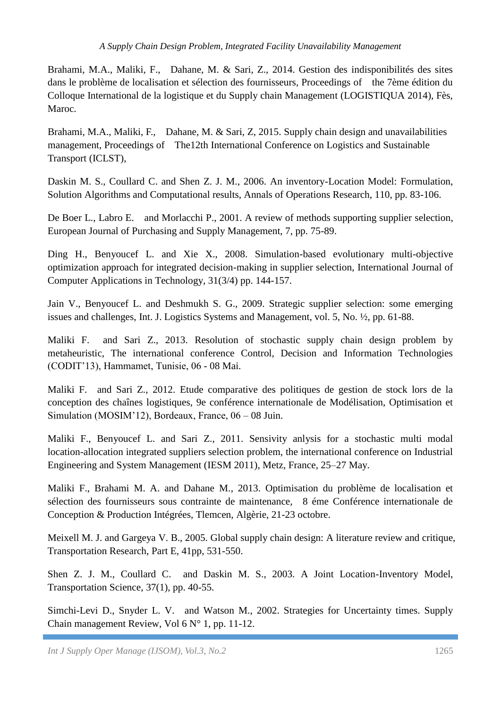Brahami, M.A., Maliki, F., Dahane, M. & Sari, Z., 2014. Gestion des indisponibilités des sites dans le problème de localisation et sélection des fournisseurs, Proceedings of the 7ème édition du Colloque International de la logistique et du Supply chain Management (LOGISTIQUA 2014), Fès, Maroc.

Brahami, M.A., Maliki, F., Dahane, M. & Sari, Z, 2015. Supply chain design and unavailabilities management, Proceedings of The12th International Conference on Logistics and Sustainable Transport (ICLST),

Daskin M. S., Coullard C. and Shen Z. J. M., 2006. An inventory-Location Model: Formulation, Solution Algorithms and Computational results, Annals of Operations Research, 110, pp. 83-106.

De Boer L., Labro E. and Morlacchi P., 2001. A review of methods supporting supplier selection, European Journal of Purchasing and Supply Management, 7, pp. 75-89.

Ding H., Benyoucef L. and Xie X., 2008. Simulation-based evolutionary multi-objective optimization approach for integrated decision-making in supplier selection, International Journal of Computer Applications in Technology, 31(3/4) pp. 144-157.

Jain V., Benyoucef L. and Deshmukh S. G., 2009. Strategic supplier selection: some emerging issues and challenges, Int. J. Logistics Systems and Management, vol. 5, No. ½, pp. 61-88.

Maliki F. and Sari Z., 2013. Resolution of stochastic supply chain design problem by metaheuristic, The international conference Control, Decision and Information Technologies (CODIT'13), Hammamet, Tunisie, 06 - 08 Mai.

Maliki F. and Sari Z., 2012. Etude comparative des politiques de gestion de stock lors de la conception des chaînes logistiques, 9e conférence internationale de Modélisation, Optimisation et Simulation (MOSIM'12), Bordeaux, France, 06 – 08 Juin.

Maliki F., Benyoucef L. and Sari Z., 2011. Sensivity anlysis for a stochastic multi modal location-allocation integrated suppliers selection problem, the international conference on Industrial Engineering and System Management (IESM 2011), Metz, France, 25–27 May.

Maliki F., Brahami M. A. and Dahane M., 2013. Optimisation du problème de localisation et sélection des fournisseurs sous contrainte de maintenance, 8 éme Conférence internationale de Conception & Production Intégrées, Tlemcen, Algèrie, 21-23 octobre.

Meixell M. J. and Gargeya V. B., 2005. Global supply chain design: A literature review and critique, Transportation Research, Part E, 41pp, 531-550.

Shen Z. J. M., Coullard C. and Daskin M. S., 2003. A Joint Location-Inventory Model, Transportation Science, 37(1), pp. 40-55.

Simchi-Levi D., Snyder L. V. and Watson M., 2002. Strategies for Uncertainty times. Supply Chain management Review, Vol 6 N° 1, pp. 11-12.